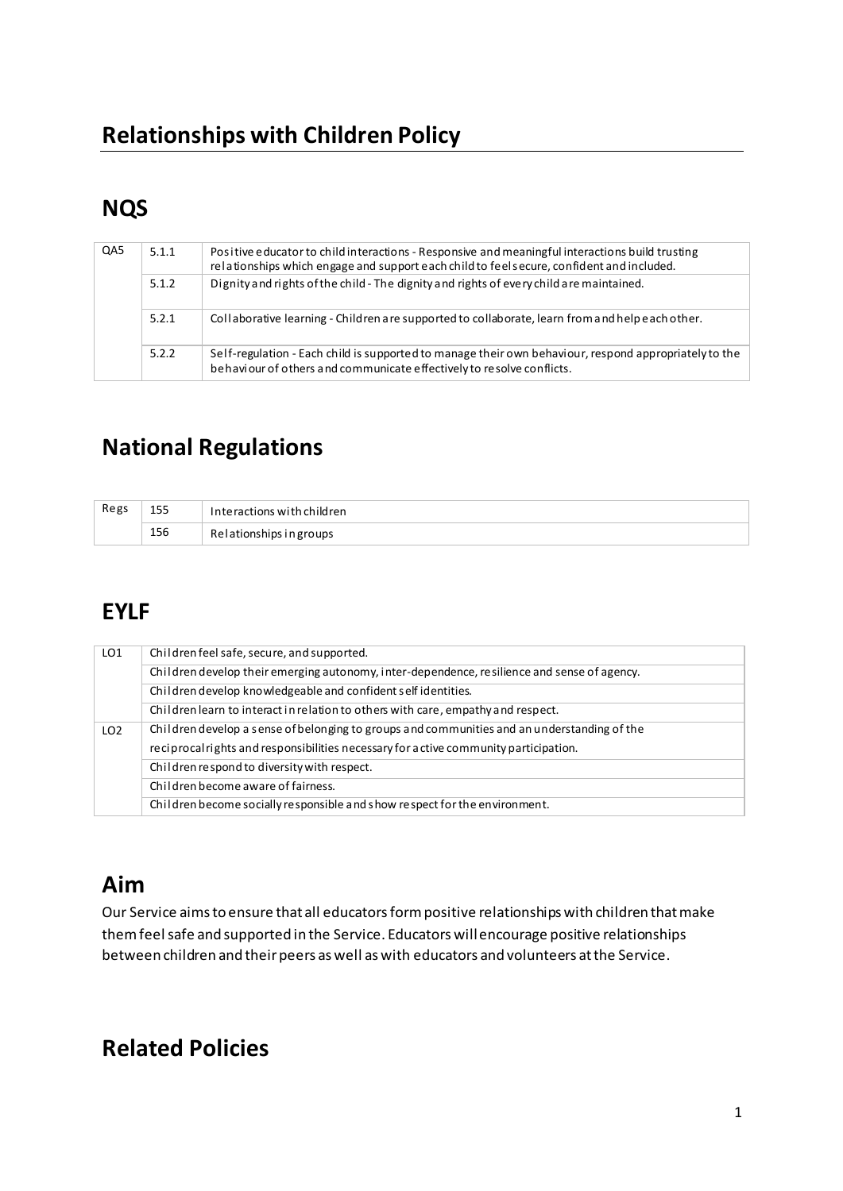## **NQS**

| QA5 | 5.1.1 | Positive educator to child interactions - Responsive and meaningful interactions build trusting<br>relationships which engage and support each child to feels ecure, confident and included. |
|-----|-------|----------------------------------------------------------------------------------------------------------------------------------------------------------------------------------------------|
|     | 5.1.2 | Dignity and rights of the child - The dignity and rights of every child are maintained.                                                                                                      |
|     | 5.2.1 | Collaborative learning - Children are supported to collaborate, learn from and help each other.                                                                                              |
|     | 5.2.2 | Self-regulation - Each child is supported to manage their own behaviour, respond appropriately to the<br>behaviour of others and communicate effectively to resolve conflicts.               |

## **National Regulations**

| Regs | 155 | Interactions with children |  |
|------|-----|----------------------------|--|
|      | 156 | Relationships in groups    |  |

## **EYLF**

| LO <sub>1</sub> | Children feel safe, secure, and supported.                                                  |  |  |  |  |
|-----------------|---------------------------------------------------------------------------------------------|--|--|--|--|
|                 | Children develop their emerging autonomy, inter-dependence, resilience and sense of agency. |  |  |  |  |
|                 | Children develop knowledgeable and confident self identities.                               |  |  |  |  |
|                 | Children learn to interact in relation to others with care, empathy and respect.            |  |  |  |  |
| LO <sub>2</sub> | Children develop a sense of belonging to groups and communities and an understanding of the |  |  |  |  |
|                 | reciprocal rights and responsibilities necessary for active community participation.        |  |  |  |  |
|                 | Children respond to diversity with respect.                                                 |  |  |  |  |
|                 | Children become aware of fairness.                                                          |  |  |  |  |
|                 | Children become socially responsible and show respect for the environment.                  |  |  |  |  |

# **Aim**

Our Service aims to ensure that all educators form positive relationships with children that make them feel safe and supported in the Service. Educators will encourage positive relationships between children and their peers as well as with educators and volunteers at the Service.

### **Related Policies**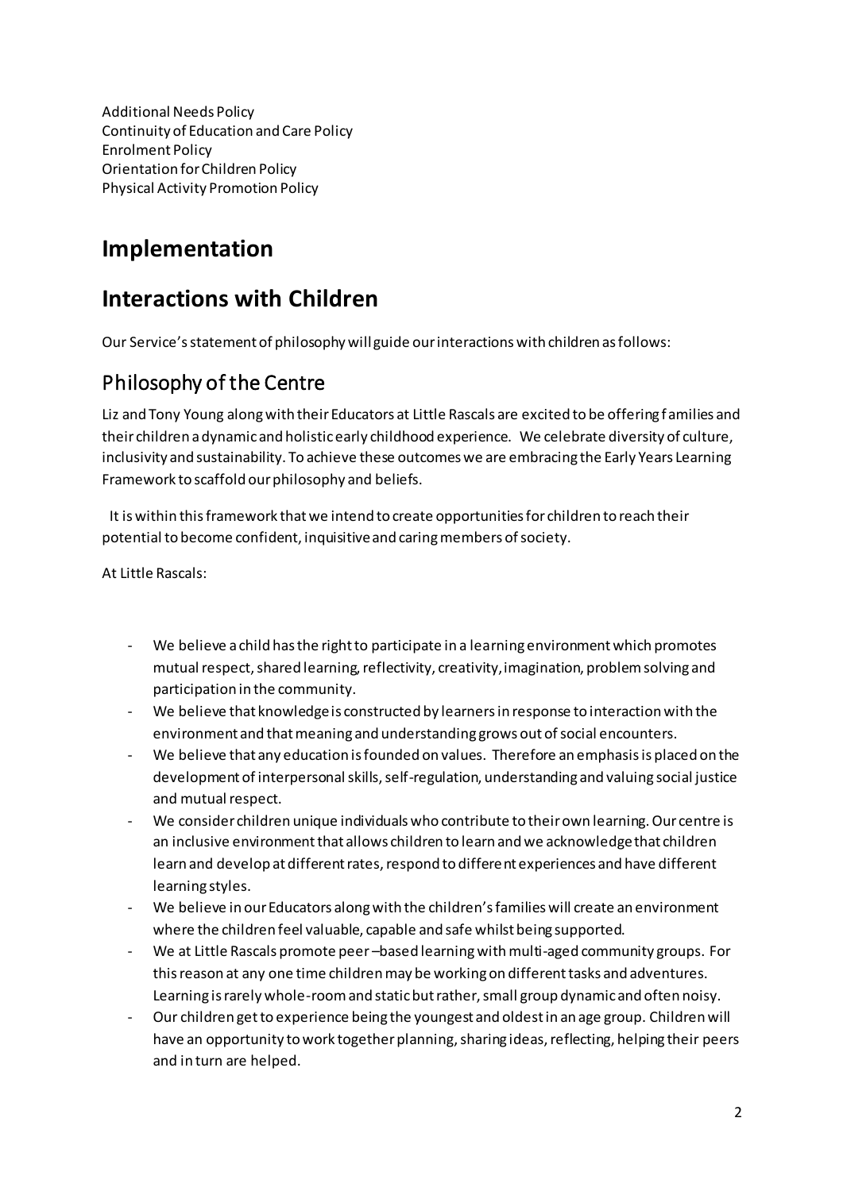Additional Needs Policy Continuity of Education and Care Policy Enrolment Policy Orientation for Children Policy Physical Activity Promotion Policy

### **Implementation**

## **Interactions with Children**

Our Service's statement of philosophy will guide our interactions with children as follows:

### Philosophy of the Centre

Liz and Tony Young along with their Educators at Little Rascals are excited to be offering f amilies and their children a dynamic and holistic early childhood experience. We celebrate diversity of culture, inclusivity and sustainability. To achieve these outcomes we are embracing the Early Years Learning Framework to scaffold our philosophy and beliefs.

 It is within this framework that we intend to create opportunities for children to reach their potential to become confident, inquisitive and caring members of society.

At Little Rascals:

- We believe a child has the right to participate in a learning environment which promotes mutual respect, shared learning, reflectivity, creativity, imagination, problem solving and participation in the community.
- We believe that knowledge is constructed by learners in response to interaction with the environment and that meaning and understanding grows out of social encounters.
- We believe that any education is founded on values. Therefore an emphasis is placed on the development of interpersonal skills, self-regulation, understanding and valuing social justice and mutual respect.
- We consider children unique individuals who contribute to their own learning. Our centre is an inclusive environment that allows children to learn and we acknowledge that children learn and develop at different rates, respond to different experiences and have different learning styles.
- We believe in our Educators along with the children's families will create an environment where the children feel valuable, capable and safe whilst being supported.
- We at Little Rascals promote peer -based learning with multi-aged community groups. For this reason at any one time children may be working on different tasks and adventures. Learning is rarely whole-room and static but rather, small group dynamic and often noisy.
- Our children get to experience being the youngest and oldest in an age group. Children will have an opportunity to work together planning, sharing ideas, reflecting, helping their peers and in turn are helped.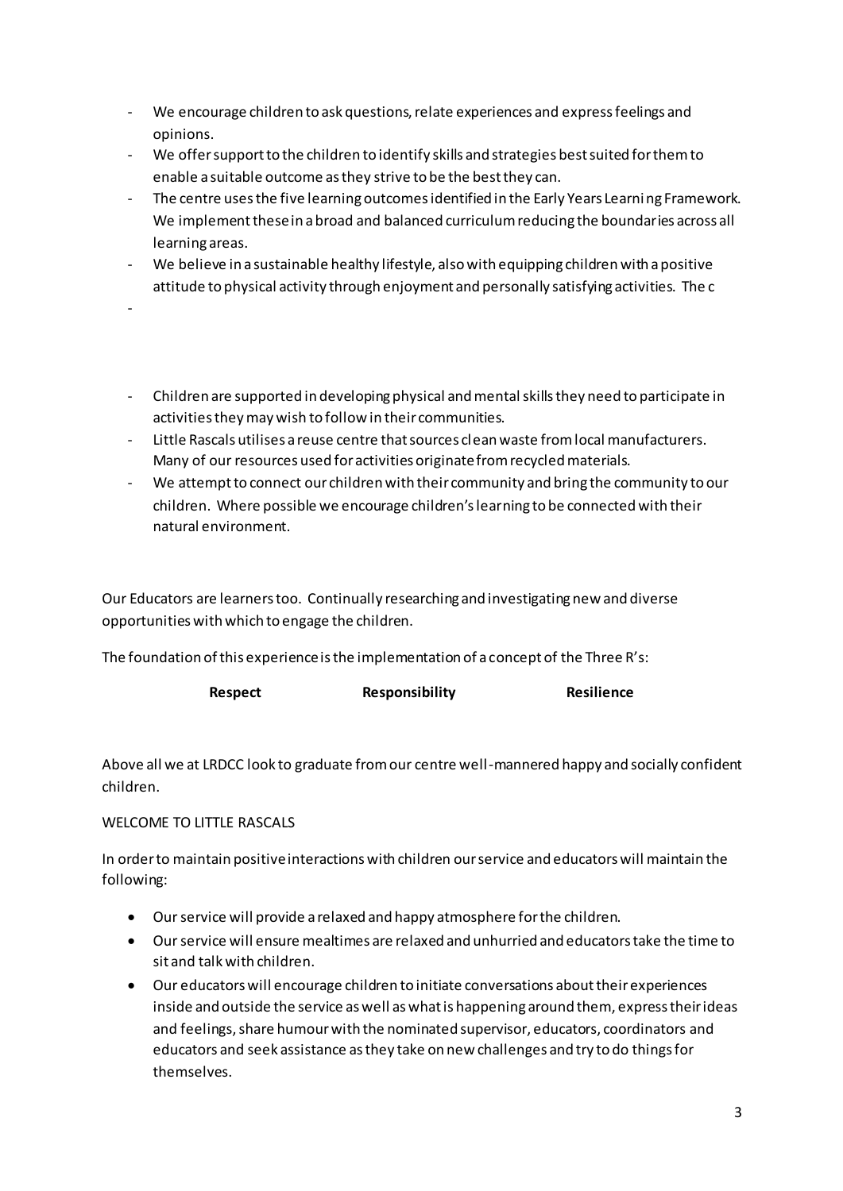- We encourage children to ask questions, relate experiences and express feelings and opinions.
- We offer support to the children to identify skills and strategies best suited for them to enable a suitable outcome as they strive to be the best they can.
- The centre uses the five learning outcomes identified in the Early Years Learning Framework. We implement these in a broad and balanced curriculum reducing the boundaries across all learning areas.
- We believe in a sustainable healthy lifestyle, also with equipping children with a positive attitude to physical activity through enjoyment and personally satisfying activities. The c
- - Children are supported in developing physical and mental skills they need to participate in activities they may wish to follow in their communities.
- Little Rascals utilises a reuse centre that sources clean waste from local manufacturers. Many of our resources used for activities originate from recycled materials.
- We attempt to connect our children with their community and bring the community to our children. Where possible we encourage children's learning to be connected with their natural environment.

Our Educators are learners too. Continually researching and investigating new and diverse opportunities with which to engage the children.

The foundation of this experience is the implementation of a concept of the Three R's:

| <b>Respect</b> | <b>Responsibility</b> | <b>Resilience</b> |
|----------------|-----------------------|-------------------|
|----------------|-----------------------|-------------------|

Above all we at LRDCC look to graduate from our centre well-mannered happy and socially confident children.

#### WELCOME TO LITTLE RASCALS

In order to maintain positive interactions with children our service and educators will maintain the following:

- Our service will provide a relaxed and happy atmosphere for the children.
- Our service will ensure mealtimes are relaxed and unhurried and educators take the time to sit and talk with children.
- Our educators will encourage children to initiate conversations about their experiences inside and outside the service as well as what is happening around them, express their ideas and feelings, share humour with the nominated supervisor, educators, coordinators and educators and seek assistance as they take on new challenges and try to do things for themselves.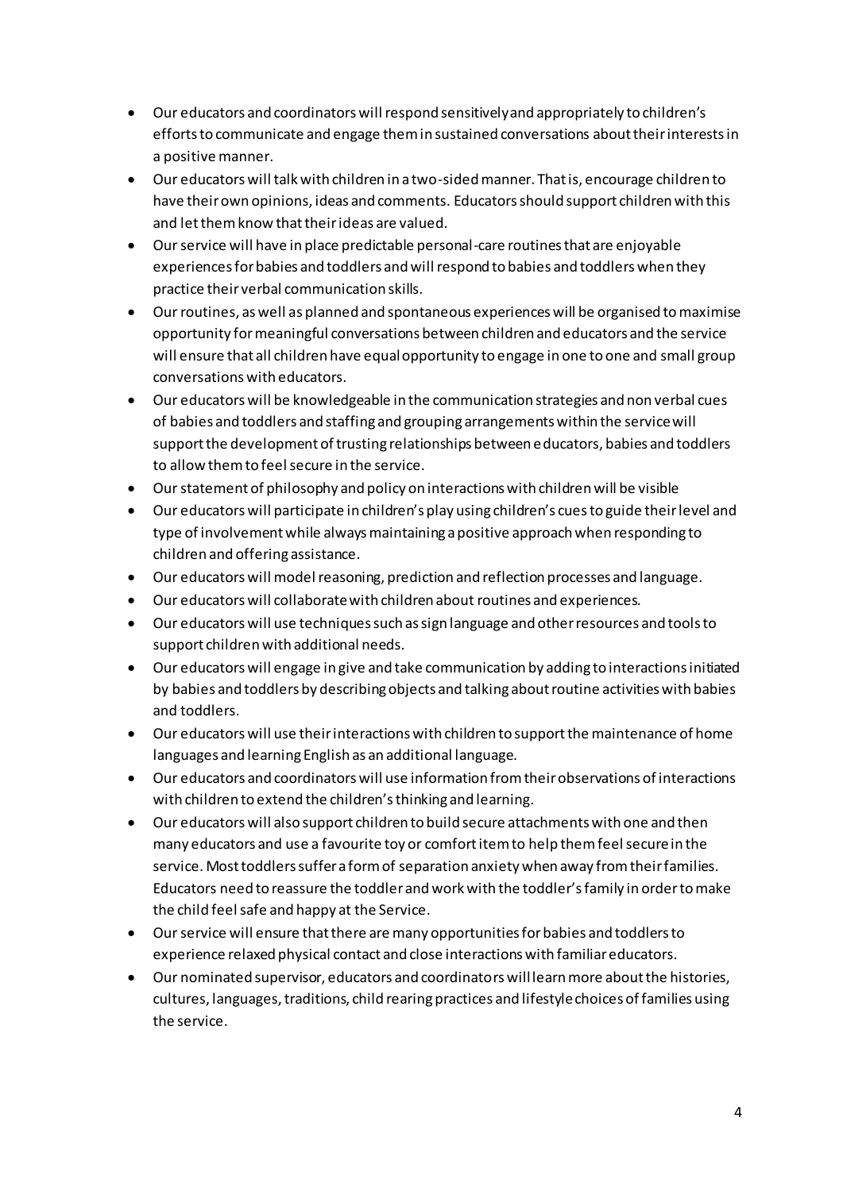- Our educators and coordinators will respond sensitively and appropriately to children's efforts to communicate and engage them in sustained conversations about their interests in a positive manner.
- Our educators will talk with children in a two-sided manner. That is, encourage children to have their own opinions, ideas and comments. Educators should support children with this and let them know that their ideas are valued.
- Our service will have in place predictable personal-care routines that are enjoyable experiences for babies and toddlers and will respond to babies and toddlers when they practice their verbal communication skills.
- Our routines, as well as planned and spontaneous experiences will be organised to maximise opportunity for meaningful conversations between children and educators and the service will ensure that all children have equal opportunity to engage in one to one and small group conversations with educators.
- Our educators will be knowledgeable in the communication strategies and non verbal cues of babies and toddlers and staffing and grouping arrangements within the service will support the development of trusting relationships between educators, babies and toddlers to allow them to feel secure in the service.
- Our statement of philosophy and policy on interactions with children will be visible
- Our educators will participate in children's play using children's cues to guide their level and type of involvement while always maintaining a positive approach when responding to children and offering assistance.
- Our educators will model reasoning, prediction and reflection processes and language.
- Our educators will collaborate with children about routines and experiences.
- Our educators will use techniques such as sign language and other resources and tools to support children with additional needs.
- Our educators will engage in give and take communication by adding to interactions initiated by babies and toddlers by describing objects and talking about routine activities with babies and toddlers.
- Our educators will use their interactions with children to support the maintenance of home languages and learning English as an additional language.
- Our educators and coordinators will use information from their observations of interactions with children to extend the children's thinking and learning.
- Our educators will also support children to build secure attachments with one and then many educators and use a favourite toy or comfort item to help them feel secure in the service. Most toddlers suffer a form of separation anxiety when away from their families. Educators need to reassure the toddler and work with the toddler's family in order to make the child feel safe and happy at the Service.
- Our service will ensure that there are many opportunities for babies and toddlers to experience relaxed physical contact and close interactions with familiar educators.
- Our nominated supervisor, educators and coordinators will learn more about the histories, cultures, languages, traditions, child rearing practices and lifestyle choices of families using the service.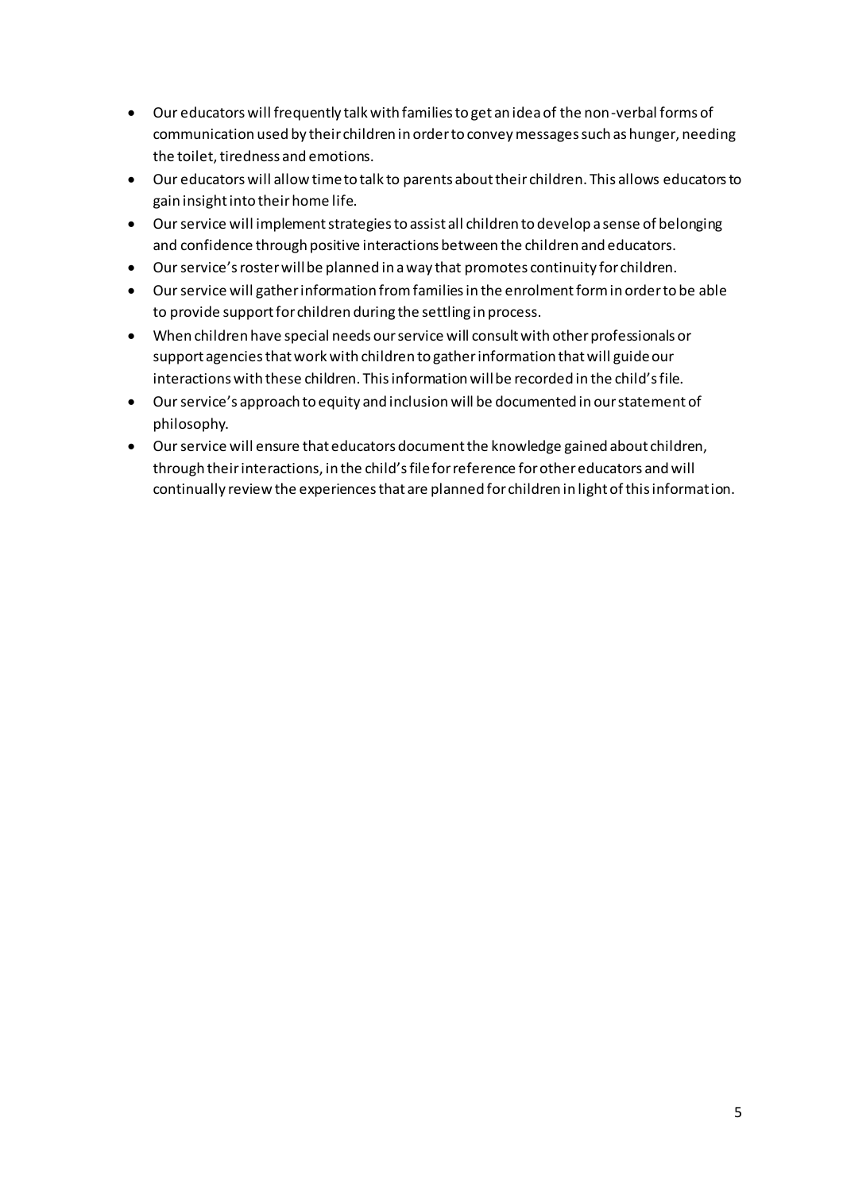- Our educators will frequently talk with families to get an idea of the non-verbal forms of communication used by their children in order to convey messages such as hunger, needing the toilet, tiredness and emotions.
- Our educators will allow time to talk to parents about their children. This allows educators to gain insight into their home life.
- Our service will implement strategies to assist all children to develop a sense of belonging and confidence through positive interactions between the children and educators.
- Our service's roster will be planned in a way that promotes continuity for children.
- Our service will gather information from families in the enrolment form in order to be able to provide support for children during the settling in process.
- When children have special needs our service will consult with other professionals or support agencies that work with children to gather information that will guide our interactions with these children. This information will be recorded in the child's file.
- Our service's approach to equity and inclusion will be documented in our statement of philosophy.
- Our service will ensure that educators document the knowledge gained about children, through their interactions, in the child's file for reference for other educators and will continually review the experiences that are planned for children in light of this information.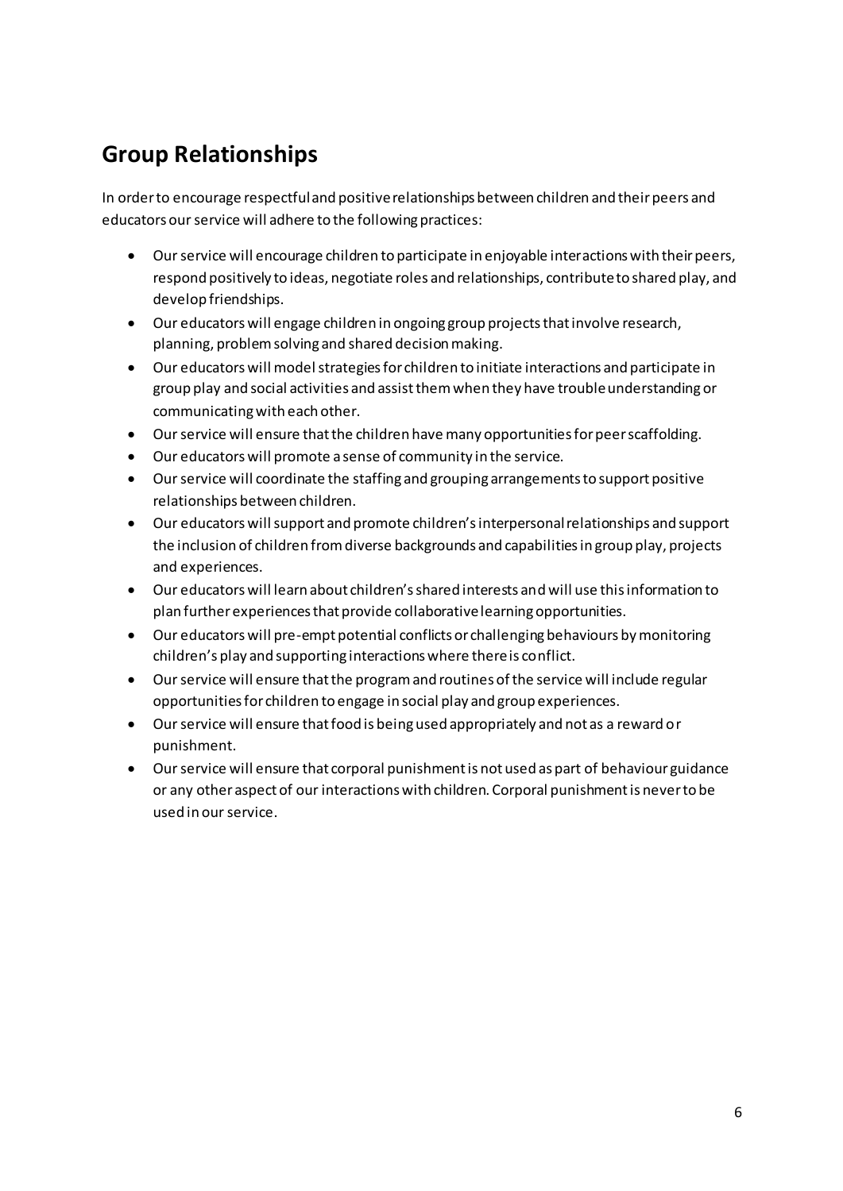## **Group Relationships**

In order to encourage respectful and positive relationships between children and their peers and educators our service will adhere to the following practices:

- Our service will encourage children to participate in enjoyable interactions with their peers, respond positively to ideas, negotiate roles and relationships, contribute to shared play, and develop friendships.
- Our educators will engage children in ongoing group projects that involve research, planning, problem solving and shared decision making.
- Our educators will model strategies for children to initiate interactions and participate in group play and social activities and assist them when they have trouble understanding or communicating with each other.
- Our service will ensure that the children have many opportunities for peer scaffolding.
- Our educators will promote a sense of community in the service.
- Our service will coordinate the staffing and grouping arrangements to support positive relationships between children.
- Our educators will support and promote children's interpersonal relationships and support the inclusion of children from diverse backgrounds and capabilities in group play, projects and experiences.
- Our educators will learn about children's shared interests and will use this information to plan further experiences that provide collaborative learning opportunities.
- Our educators will pre-empt potential conflicts or challenging behaviours by monitoring children's play and supporting interactions where there is conflict.
- Our service will ensure that the program and routines of the service will include regular opportunities for children to engage in social play and group experiences.
- Our service will ensure that food is being used appropriately and not as a reward or punishment.
- Our service will ensure that corporal punishment is not used as part of behaviour guidance or any other aspect of our interactions with children. Corporal punishment is never to be used in our service.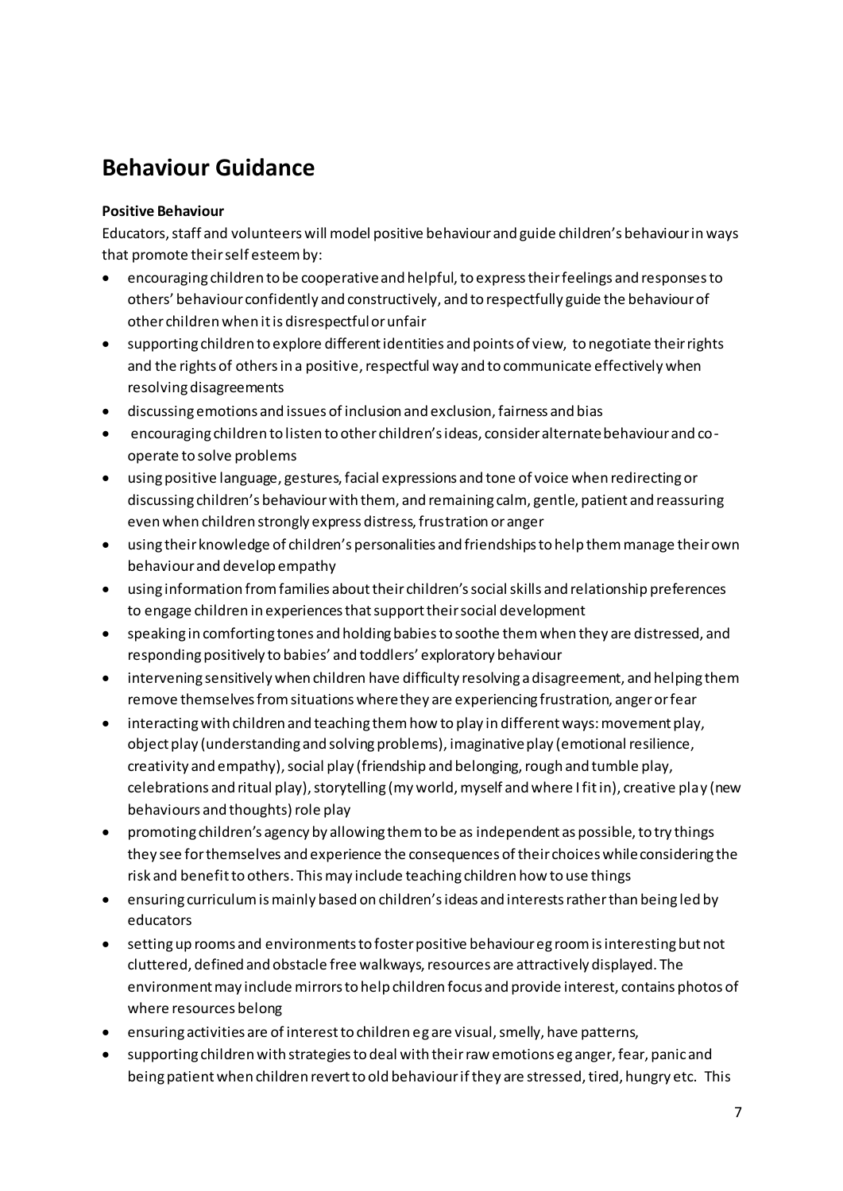## **Behaviour Guidance**

#### **Positive Behaviour**

Educators, staff and volunteers will model positive behaviour and guide children's behaviour in ways that promote their self esteem by:

- encouraging children to be cooperative and helpful, to express their feelings and responses to others' behaviour confidently and constructively, and to respectfully guide the behaviour of other children when it is disrespectful or unfair
- supporting children to explore different identities and points of view, to negotiate their rights and the rights of others in a positive, respectful way and to communicate effectively when resolving disagreements
- discussing emotions and issues of inclusion and exclusion, fairness and bias
- encouraging children to listen to other children's ideas, consider alternate behaviour and cooperate to solve problems
- using positive language, gestures, facial expressions and tone of voice when redirecting or discussing children's behaviour with them, and remaining calm, gentle, patient and reassuring even when children strongly express distress, frustration or anger
- using their knowledge of children's personalities and friendships to help them manage their own behaviour and develop empathy
- using information from families about their children's social skills and relationship preferences to engage children in experiences that support their social development
- speaking in comforting tones and holding babies to soothe them when they are distressed, and responding positively to babies' and toddlers' exploratory behaviour
- intervening sensitively when children have difficulty resolving a disagreement, and helping them remove themselves from situations where they are experiencing frustration, anger or fear
- interacting with children and teaching them how to play in different ways: movement play, object play (understanding and solving problems), imaginative play (emotional resilience, creativity and empathy), social play (friendship and belonging, rough and tumble play, celebrations and ritual play), storytelling (my world, myself and where I fit in), creative play (new behaviours and thoughts) role play
- promoting children's agency by allowing them to be as independent as possible, to try things they see for themselves and experience the consequences of their choices while considering the risk and benefit to others. This may include teaching children how to use things
- ensuring curriculum is mainly based on children's ideas and interests rather than being led by educators
- setting up rooms and environments to foster positive behaviour eg room is interesting but not cluttered, defined and obstacle free walkways, resources are attractively displayed. The environment may include mirrors to help children focus and provide interest, contains photos of where resources belong
- ensuring activities are of interest to children eg are visual, smelly, have patterns,
- supporting children with strategies to deal with their raw emotions eg anger, fear, panic and being patient when children revert to old behaviour if they are stressed, tired, hungry etc. This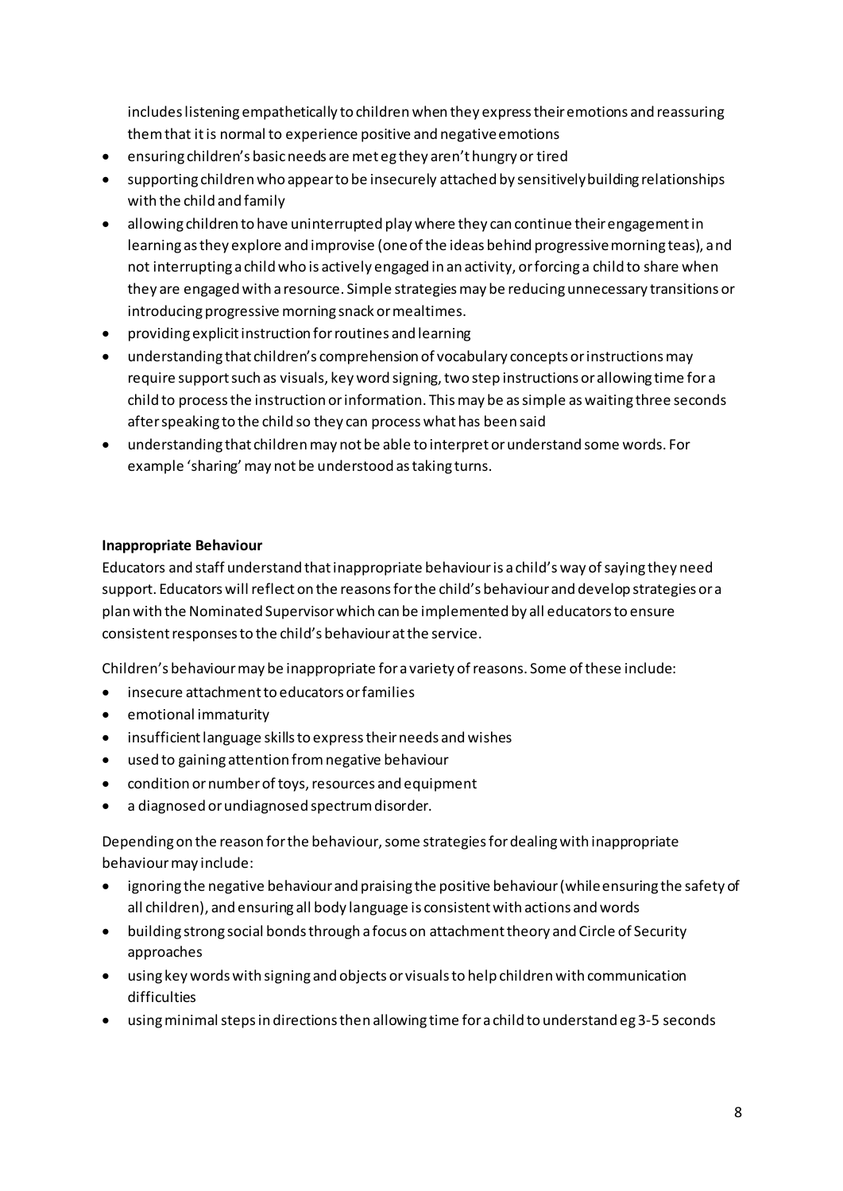includes listening empathetically to children when they express their emotions and reassuring them that it is normal to experience positive and negative emotions

- ensuring children's basic needs are met eg they aren't hungry or tired
- supporting children who appear to be insecurely attached by sensitively building relationships with the child and family
- · allowing children to have uninterrupted play where they can continue their engagement in learning as they explore and improvise (one of the ideas behind progressive morning teas), and not interrupting a child who is actively engaged in an activity, or forcing a child to share when they are engaged with a resource. Simple strategies may be reducing unnecessary transitions or introducing progressive morning snack or mealtimes.
- providing explicit instruction for routines and learning
- understanding that children's comprehension of vocabulary concepts or instructions may require support such as visuals, key word signing, two step instructions or allowing time for a child to process the instruction or information. This may be as simple as waiting three seconds after speaking to the child so they can process what has been said
- understanding that children may not be able to interpret or understand some words. For example 'sharing' may not be understood as taking turns.

#### **Inappropriate Behaviour**

Educators and staff understand that inappropriate behaviour is a child's way of saying they need support. Educators will reflect on the reasons for the child's behaviour and develop strategies or a plan with the Nominated Supervisor which can be implemented by all educators to ensure consistent responses to the child's behaviour at the service.

Children's behaviour may be inappropriate for a variety of reasons. Some of these include:

- insecure attachment to educators or families
- emotional immaturity
- insufficient language skills to express their needs and wishes
- used to gaining attention from negative behaviour
- condition or number of toys, resources and equipment
- a diagnosed or undiagnosed spectrum disorder.  $\bullet$

Depending on the reason for the behaviour, some strategies for dealing with inappropriate behaviour may include:

- ignoring the negative behaviour and praising the positive behaviour (while ensuring the safety of all children), and ensuring all body language is consistent with actions and words
- building strong social bonds through a focus on attachment theory and Circle of Security approaches
- using key words with signing and objects or visuals to help children with communication difficulties
- using minimal steps in directions then allowing time for a child to understand eg 3-5 seconds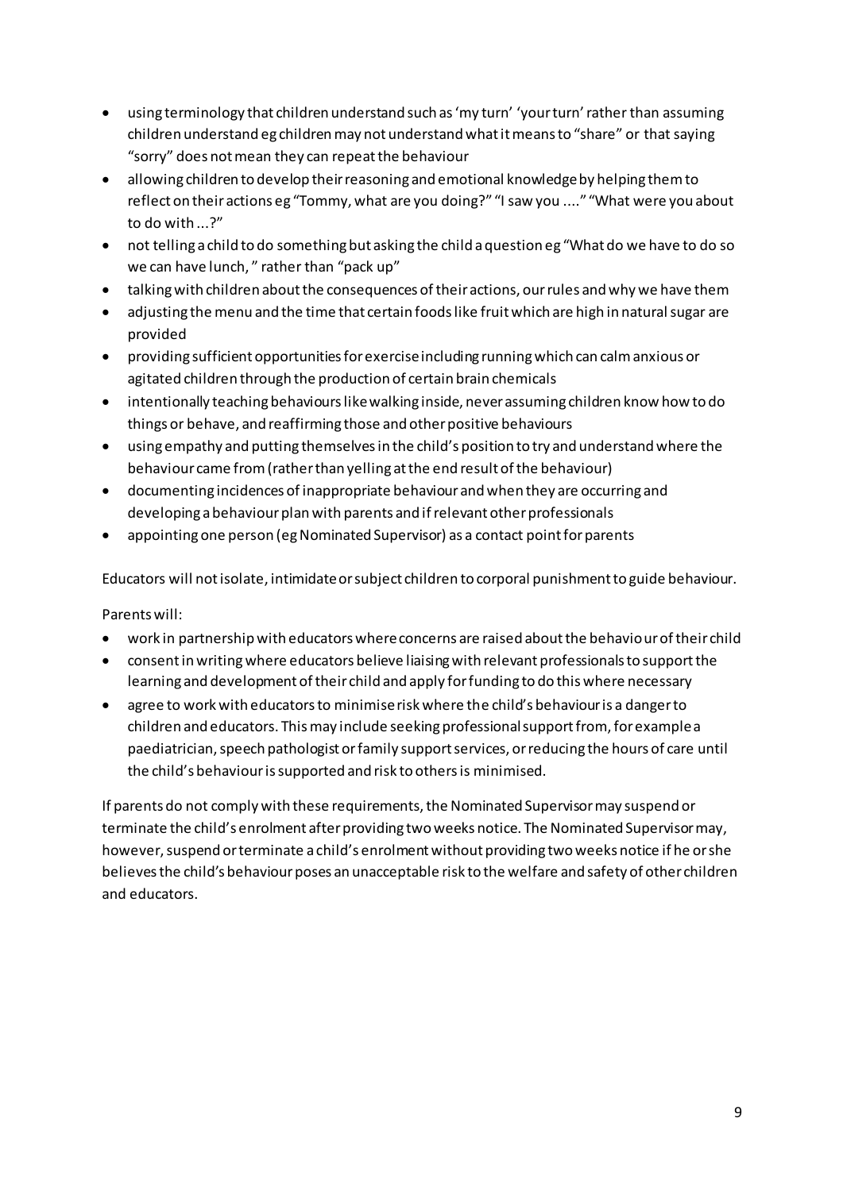- using terminology that children understand such as 'my turn' 'your turn' rather than assuming children understand eg children may not understand what it means to "share" or that saying "sorry" does not mean they can repeat the behaviour
- allowing children to develop their reasoning and emotional knowledge by helping them to reflect on their actions eg "Tommy, what are you doing?" "I saw you ...." "What were you about to do with ...?"
- not telling a child to do something but asking the child a question eg "What do we have to do so we can have lunch," rather than "pack up"
- talking with children about the consequences of their actions, our rules and why we have them
- adjusting the menu and the time that certain foods like fruit which are high in natural sugar are  $\bullet$ provided
- providing sufficient opportunities for exercise including running which can calm anxious or agitated children through the production of certain brain chemicals
- intentionally teaching behaviours like walking inside, never assuming children know how to do things or behave, and reaffirming those and other positive behaviours
- using empathy and putting themselves in the child's position to try and understand where the behaviour came from (rather than yelling at the end result of the behaviour)
- documenting incidences of inappropriate behaviour and when they are occurring and developing a behaviour plan with parents and if relevant other professionals
- appointing one person (eg Nominated Supervisor) as a contact point for parents

Educators will not isolate, intimidate or subject children to corporal punishment to guide behaviour.

Parents will:

- work in partnership with educators where concerns are raised about the behaviour of their child
- consent in writing where educators believe liaising with relevant professionals to support the learning and development of their child and apply for funding to do this where necessary
- agree to work with educators to minimise risk where the child's behaviour is a danger to children and educators. This may include seeking professional support from, for example a paediatrician, speech pathologist or family support services, or reducing the hours of care until the child's behaviour is supported and risk to others is minimised.

If parents do not comply with these requirements, the Nominated Supervisor may suspend or terminate the child's enrolment after providing two weeks notice. The Nominated Supervisor may, however, suspend or terminate a child's enrolment without providing two weeks notice if he or she believes the child's behaviour poses an unacceptable risk to the welfare and safety of other children and educators.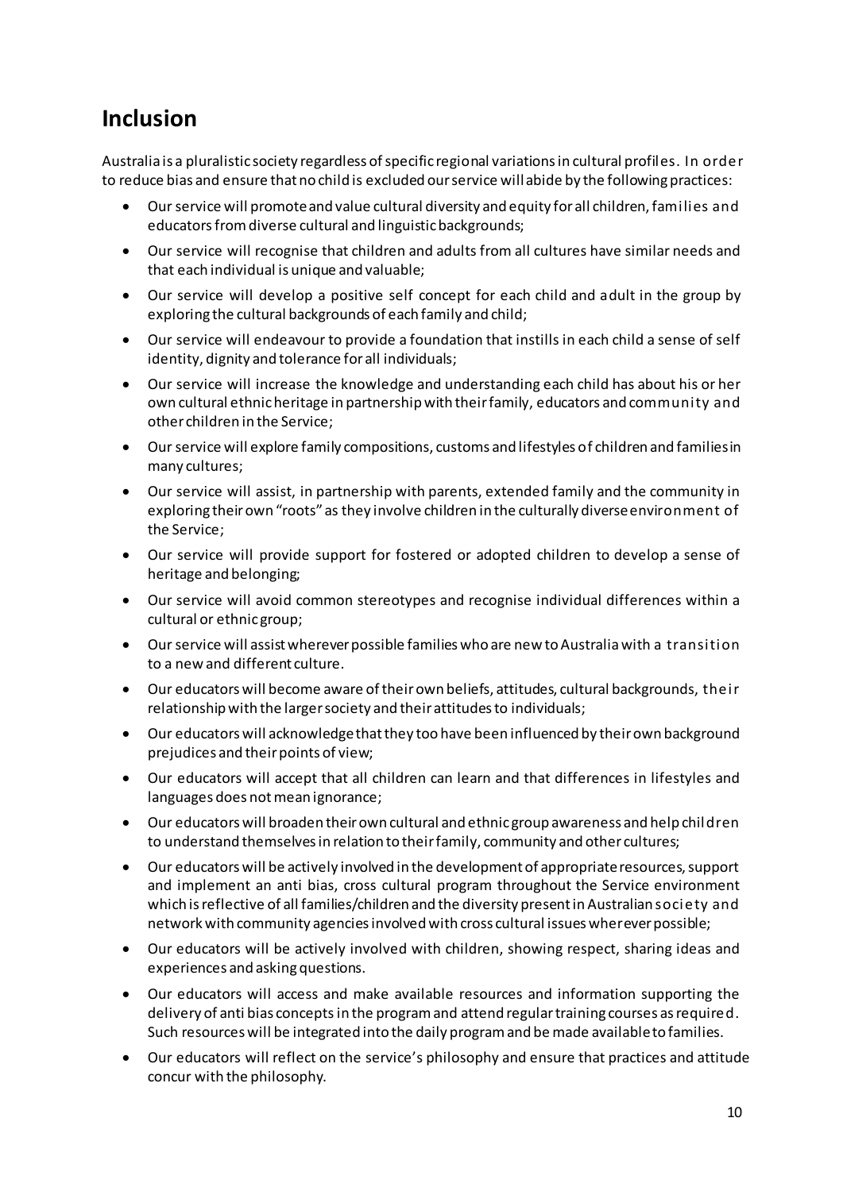### **Inclusion**

Australia is a pluralistic society regardless of specific regional variations in cultural profiles. In order to reduce bias and ensure that no child is excluded our service will abide by the following practices:

- Our service will promote and value cultural diversity and equity for all children, families and educators from diverse cultural and linguistic backgrounds;
- Our service will recognise that children and adults from all cultures have similar needs and that each individual is unique and valuable;
- Our service will develop a positive self concept for each child and adult in the group by exploring the cultural backgrounds of each family and child;
- Our service will endeavour to provide a foundation that instills in each child a sense of self identity, dignity and tolerance for all individuals;
- Our service will increase the knowledge and understanding each child has about his or her own cultural ethnic heritage in partnership with their family, educators and community and other children in the Service;
- Our service will explore family compositions, customs and lifestyles of children and families in many cultures;
- Our service will assist, in partnership with parents, extended family and the community in exploring their own "roots" as they involve children in the culturally diverse environment of the Service;
- Our service will provide support for fostered or adopted children to develop a sense of heritage and belonging;
- Our service will avoid common stereotypes and recognise individual differences within a cultural or ethnic group;
- Our service will assist wherever possible families who are new to Australia with a transition to a new and different culture.
- Our educators will become aware of their own beliefs, attitudes, cultural backgrounds, their relationship with the larger society and their attitudes to individuals;
- Our educators will acknowledge that they too have been influenced by their own background prejudices and their points of view;
- Our educators will accept that all children can learn and that differences in lifestyles and languages does not mean ignorance;
- Our educators will broaden their own cultural and ethnic group awareness and help children to understand themselves in relation to their family, community and other cultures;
- Our educators will be actively involved in the development of appropriate resources, support and implement an anti bias, cross cultural program throughout the Service environment which is reflective of all families/children and the diversity present in Australian society and network with community agencies involved with cross cultural issues wherever possible;
- Our educators will be actively involved with children, showing respect, sharing ideas and experiences and asking questions.
- Our educators will access and make available resources and information supporting the delivery of anti bias concepts in the program and attend regular training courses as required. Such resources will be integrated into the daily program and be made available to families.
- Our educators will reflect on the service's philosophy and ensure that practices and attitude concur with the philosophy.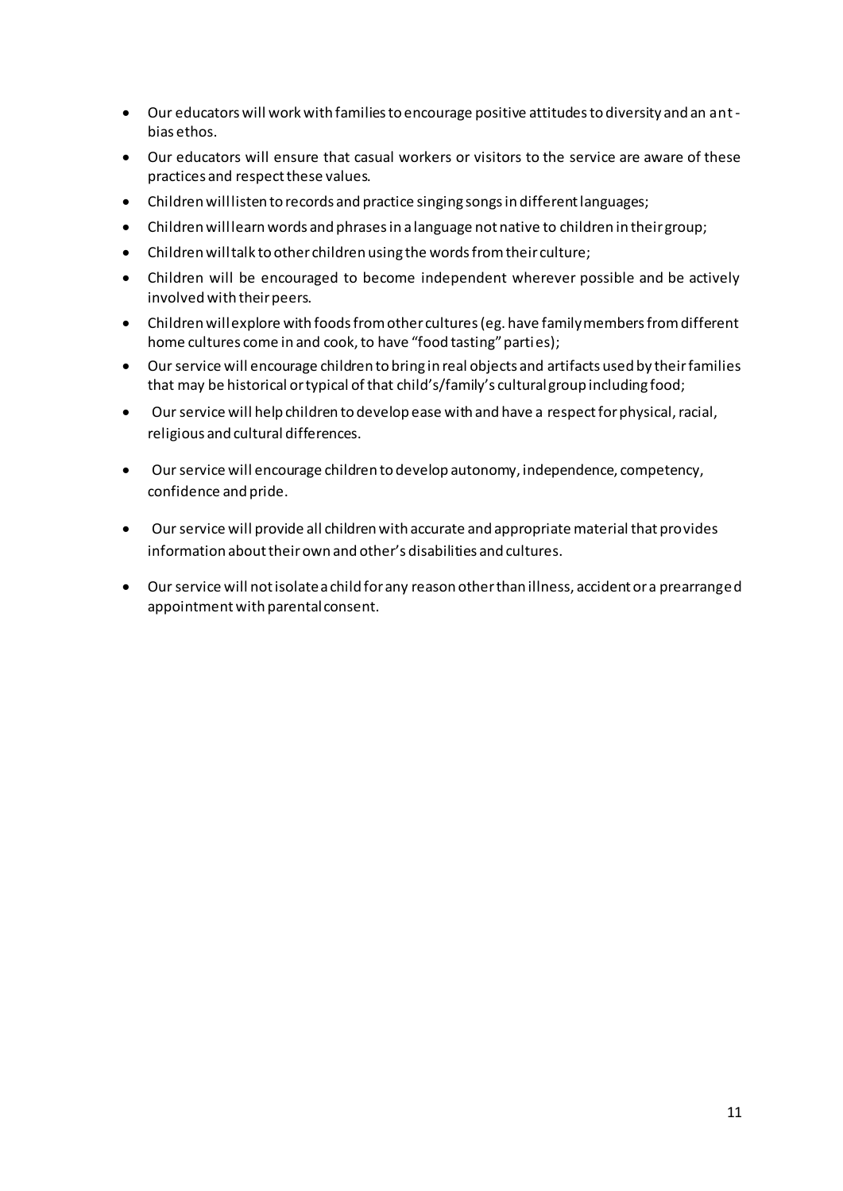- . Our educators will work with families to encourage positive attitudes to diversity and an antbias ethos.
- Our educators will ensure that casual workers or visitors to the service are aware of these practices and respect these values.
- Children will listen to records and practice singing songs in different languages;
- Children will learn words and phrases in a language not native to children in their group;  $\bullet$
- Children will talk to other children using the words from their culture;  $\bullet$
- Children will be encouraged to become independent wherever possible and be actively involved with their peers.
- Children will explore with foods from other cultures (eg. have family members from different home cultures come in and cook, to have "food tasting" parties);
- Our service will encourage children to bring in real objects and artifacts used by their families that may be historical or typical of that child's/family's cultural group including food;
- Our service will help children to develop ease with and have a respect for physical, racial,  $\bullet$ religious and cultural differences.
- Our service will encourage children to develop autonomy, independence, competency,  $\bullet$ confidence and pride.
- Our service will provide all children with accurate and appropriate material that provides information about their own and other's disabilities and cultures.
- Our service will not isolate a child for any reason other than illness, accident or a prearranged appointment with parental consent.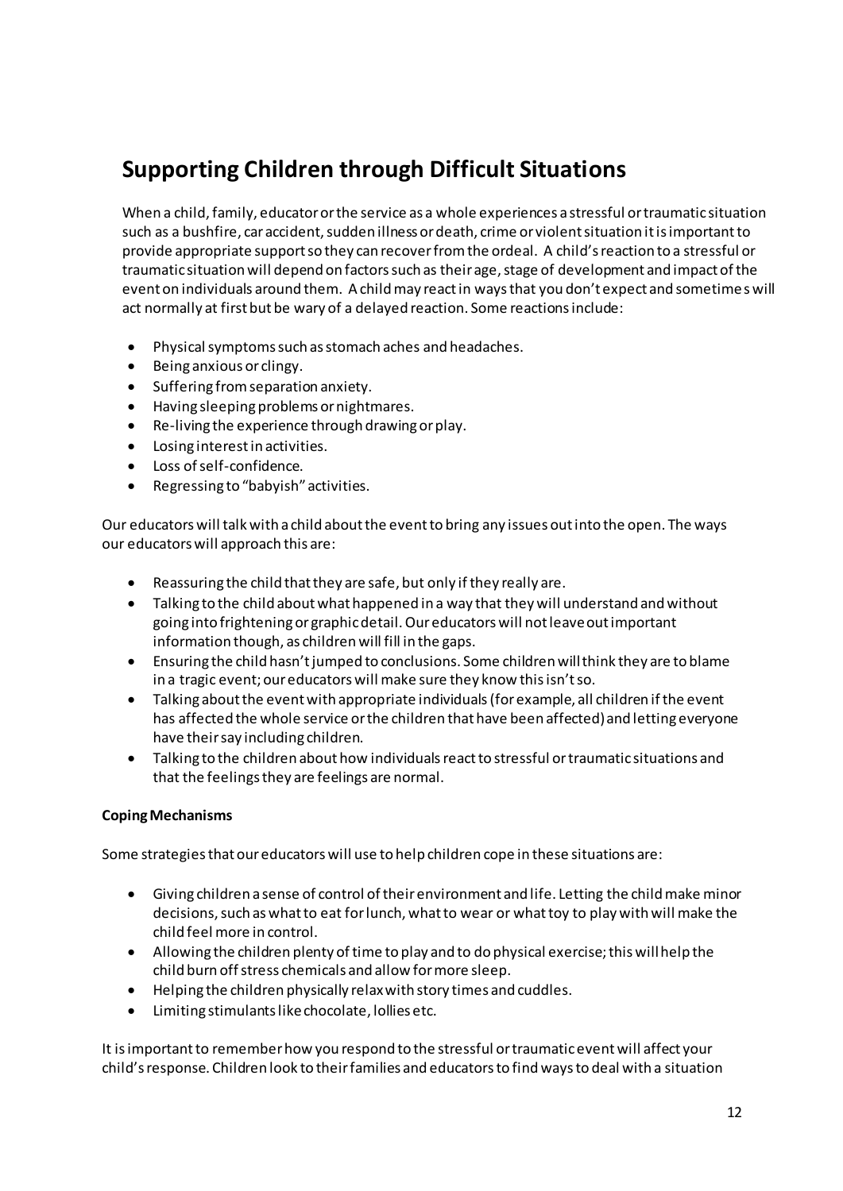## **Supporting Children through Difficult Situations**

When a child, family, educator or the service as a whole experiences a stressful or traumatic situation such as a bushfire, car accident, sudden illness or death, crime or violent situation it is important to provide appropriate support so they can recover from the ordeal. A child's reaction to a stressful or traumatic situation will depend on factors such as their age, stage of development and impact of the event on individuals around them. A child may react in ways that you don't expect and sometime s will act normally at first but be wary of a delayed reaction. Some reactions include:

- Physical symptoms such as stomach aches and headaches.  $\bullet$
- Being anxious or clingy.  $\bullet$
- $\bullet$ Suffering from separation anxiety.
- Having sleeping problems or nightmares.  $\bullet$
- Re-living the experience through drawing or play.  $\bullet$
- Losing interest in activities.
- Loss of self-confidence.  $\bullet$
- Regressing to "babyish" activities.  $\bullet$

Our educators will talk with a child about the event to bring any issues out into the open. The ways our educators will approach this are:

- $\bullet$ Reassuring the child that they are safe, but only if they really are.
- Talking to the child about what happened in a way that they will understand and without going into frightening or graphic detail. Our educators will not leave out important information though, as children will fill in the gaps.
- Ensuring the child hasn't jumped to conclusions. Some children will think they are to blame  $\bullet$ in a tragic event; our educators will make sure they know this isn't so.
- Talking about the event with appropriate individuals (for example, all children if the event has affected the whole service or the children that have been affected) and letting everyone have their say including children.
- Talking to the children about how individuals react to stressful or traumatic situations and that the feelings they are feelings are normal.

#### **Coping Mechanisms**

Some strategies that our educators will use to help children cope in these situations are:

- Giving children a sense of control of their environment and life. Letting the child make minor  $\bullet$ decisions, such as what to eat for lunch, what to wear or what toy to play with will make the child feel more in control.
- Allowing the children plenty of time to play and to do physical exercise; this will help the child burn off stress chemicals and allow for more sleep.
- Helping the children physically relax with story times and cuddles.
- Limiting stimulants like chocolate, lollies etc.  $\bullet$

It is important to remember how you respond to the stressful or traumatic event will affect your child's response. Children look to their families and educators to find ways to deal with a situation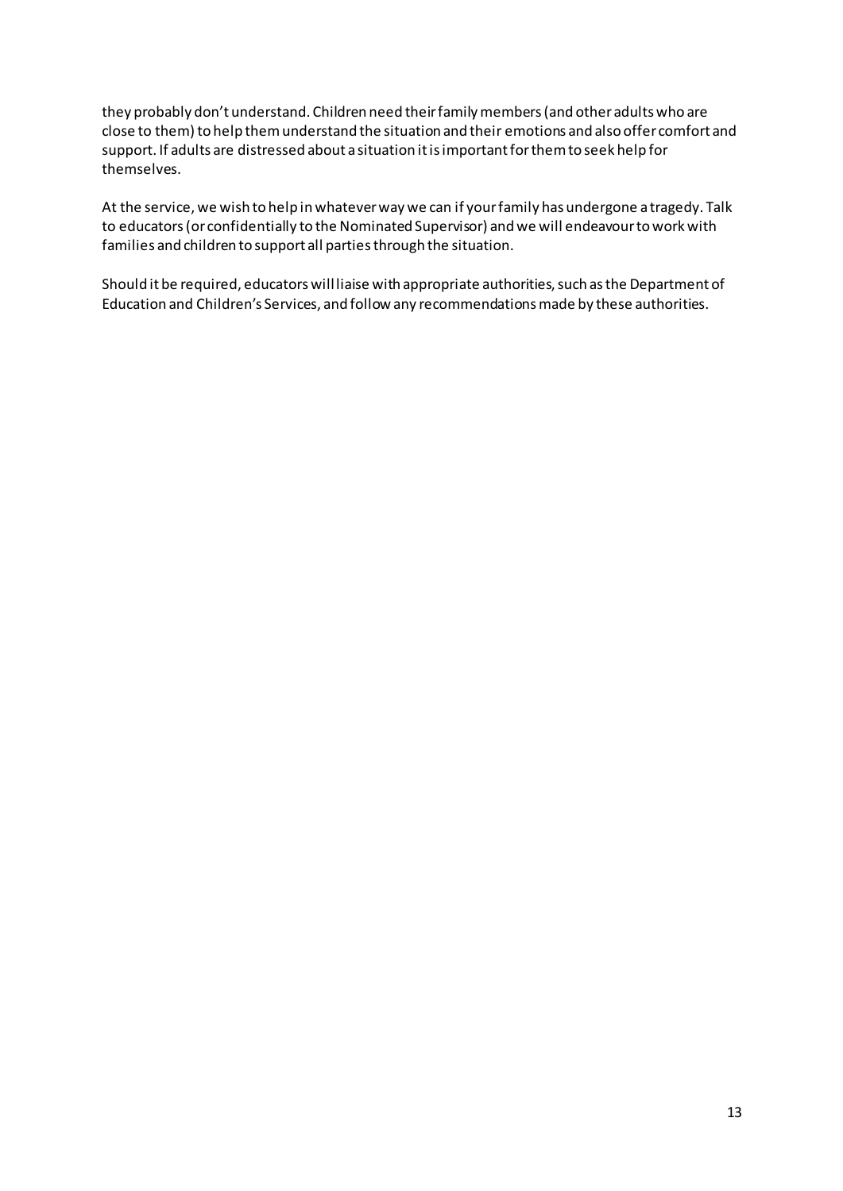they probably don't understand. Children need their family members (and other adults who are close to them) to help them understand the situation and their emotions and also offer comfort and support. If adults are distressed about a situation it is important for them to seek help for themselves.

At the service, we wish to help in whatever way we can if your family has undergone a tragedy. Talk to educators (or confidentially to the Nominated Supervisor) and we will endeavour to work with families and children to support all parties through the situation.

Should it be required, educators will liaise with appropriate authorities, such as the Department of Education and Children's Services, and follow any recommendations made by these authorities.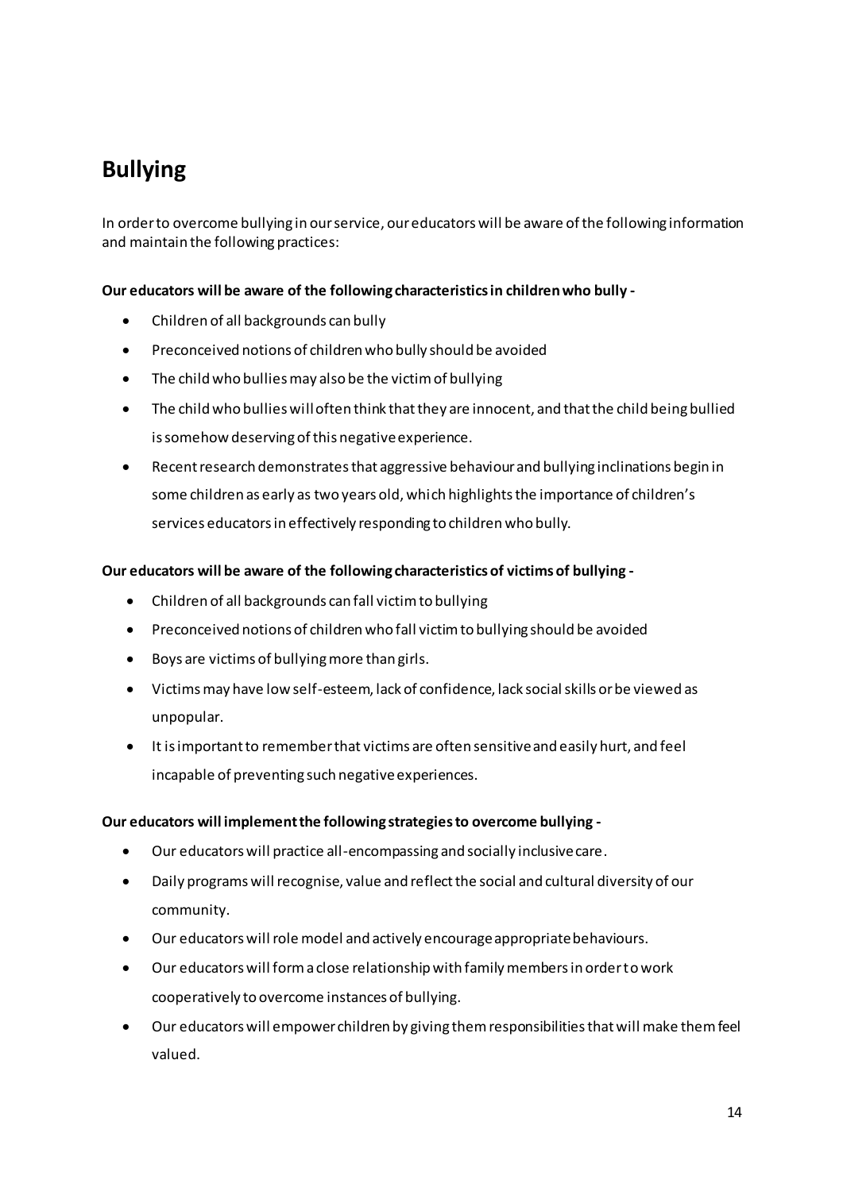## **Bullying**

In order to overcome bullying in our service, our educators will be aware of the following information and maintain the following practices:

#### **Our educators will be aware of the following characteristics in children who bully -**

- Children of all backgrounds can bully
- Preconceived notions of children who bully should be avoided
- The child who bullies may also be the victim of bullying
- The child who bullies will often think that they are innocent, and that the child being bullied is somehow deserving of this negative experience.
- Recent research demonstrates that aggressive behaviour and bullying inclinations begin in some children as early as two years old, which highlights the importance of children's services educators in effectively responding to children who bully.

#### **Our educators will be aware of the following characteristics of victims of bullying -**

- Children of all backgrounds can fall victim to bullying
- Preconceived notions of children who fall victim to bullying should be avoided
- Boys are victims of bullying more than girls.
- Victims may have low self-esteem, lack of confidence, lack social skills or be viewed as unpopular.
- It is important to remember that victims are often sensitive and easily hurt, and feel incapable of preventing such negative experiences.

#### **Our educators will implement the following strategies to overcome bullying -**

- Our educators will practice all-encompassing and socially inclusive care.
- Daily programs will recognise, value and reflect the social and cultural diversity of our community.
- Our educators will role model and actively encourage appropriate behaviours.
- Our educators will form a close relationship with family members in order to work cooperatively to overcome instances of bullying.
- Our educators will empower children by giving them responsibilities that will make them feel valued.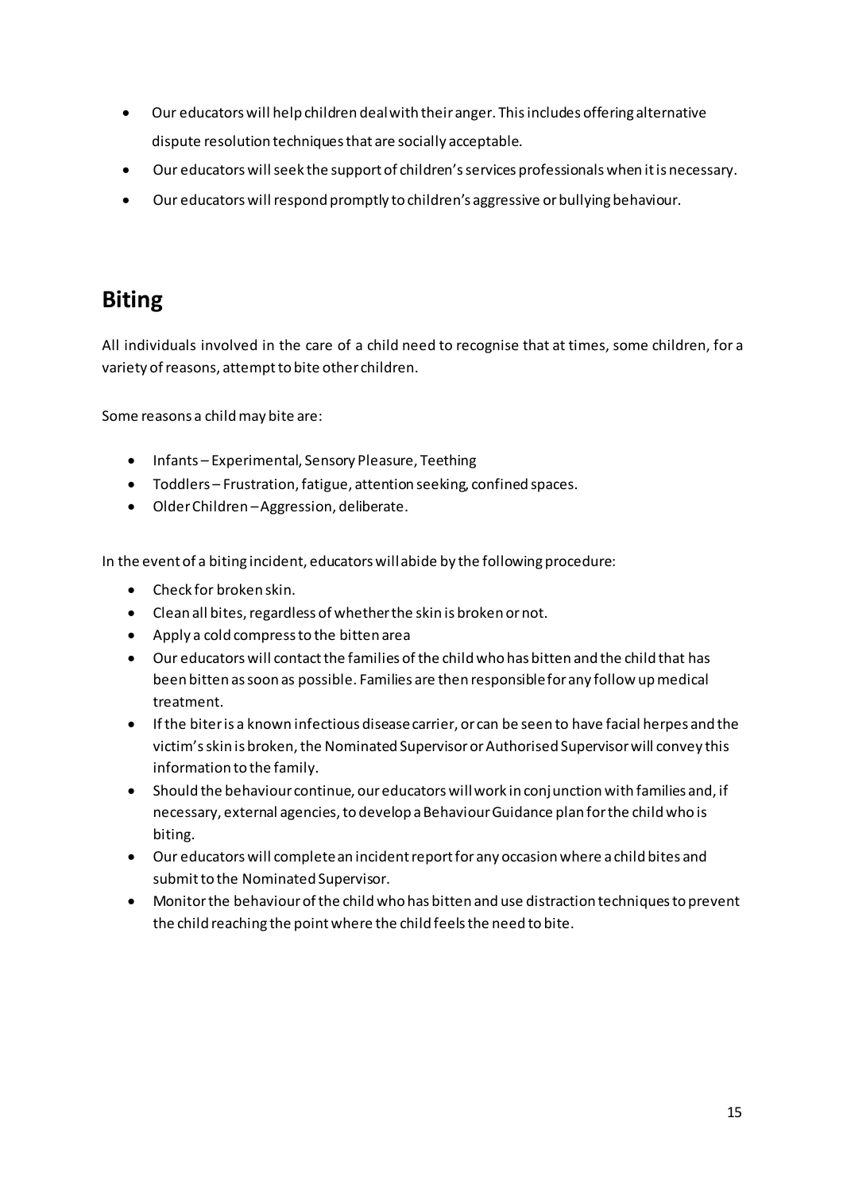- Our educators will help children deal with their anger. This includes offering alternative dispute resolution techniques that are socially acceptable.
- Our educators will seek the support of children's services professionals when it is necessary.
- Our educators will respond promptly to children's aggressive or bullying behaviour.

### **Biting**

All individuals involved in the care of a child need to recognise that at times, some children, for a variety of reasons, attempt to bite other children.

Some reasons a child may bite are:

- Infants Experimental, Sensory Pleasure, Teething
- Toddlers Frustration, fatigue, attention seeking, confined spaces.
- Older Children Aggression, deliberate.

In the event of a biting incident, educators will abide by the following procedure:

- Check for broken skin.
- Clean all bites, regardless of whether the skin is broken or not.
- Apply a cold compress to the bitten area
- Our educators will contact the families of the child who has bitten and the child that has been bitten as soon as possible. Families are then responsible for any follow up medical treatment.
- If the biter is a known infectious disease carrier, or can be seen to have facial herpes and the victim's skin is broken, the Nominated Supervisor or Authorised Supervisor will convey this information to the family.
- Should the behaviour continue, our educators will work in conjunction with families and, if necessary, external agencies, to develop a Behaviour Guidance plan for the child who is biting.
- Our educators will complete an incident report for any occasion where a child bites and submit to the Nominated Supervisor.
- Monitor the behaviour of the child who has bitten and use distraction techniques to prevent the child reaching the point where the child feels the need to bite.